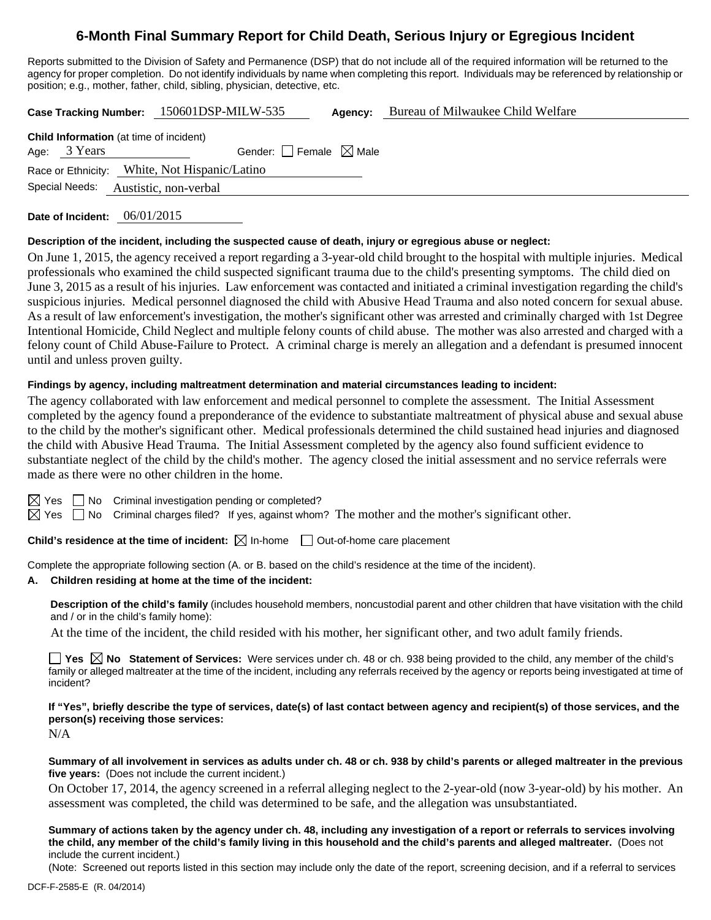# **6-Month Final Summary Report for Child Death, Serious Injury or Egregious Incident**

Reports submitted to the Division of Safety and Permanence (DSP) that do not include all of the required information will be returned to the agency for proper completion. Do not identify individuals by name when completing this report. Individuals may be referenced by relationship or position; e.g., mother, father, child, sibling, physician, detective, etc.

**Case Tracking Number:** 150601DSP-MILW-535 **Agency:** Bureau of Milwaukee Child Welfare

| <b>Child Information</b> (at time of incident) |                |                                               |  |  |  |  |  |
|------------------------------------------------|----------------|-----------------------------------------------|--|--|--|--|--|
|                                                | Age: 3 Years   | Gender: Female $\boxtimes$ Male               |  |  |  |  |  |
|                                                |                | Race or Ethnicity: White, Not Hispanic/Latino |  |  |  |  |  |
|                                                | Special Needs: | Austistic, non-verbal                         |  |  |  |  |  |
|                                                |                |                                               |  |  |  |  |  |

**Date of Incident:** 06/01/2015

#### **Description of the incident, including the suspected cause of death, injury or egregious abuse or neglect:**

On June 1, 2015, the agency received a report regarding a 3-year-old child brought to the hospital with multiple injuries. Medical professionals who examined the child suspected significant trauma due to the child's presenting symptoms. The child died on June 3, 2015 as a result of his injuries. Law enforcement was contacted and initiated a criminal investigation regarding the child's suspicious injuries. Medical personnel diagnosed the child with Abusive Head Trauma and also noted concern for sexual abuse. As a result of law enforcement's investigation, the mother's significant other was arrested and criminally charged with 1st Degree Intentional Homicide, Child Neglect and multiple felony counts of child abuse. The mother was also arrested and charged with a felony count of Child Abuse-Failure to Protect. A criminal charge is merely an allegation and a defendant is presumed innocent until and unless proven guilty.

# **Findings by agency, including maltreatment determination and material circumstances leading to incident:**

The agency collaborated with law enforcement and medical personnel to complete the assessment. The Initial Assessment completed by the agency found a preponderance of the evidence to substantiate maltreatment of physical abuse and sexual abuse to the child by the mother's significant other. Medical professionals determined the child sustained head injuries and diagnosed the child with Abusive Head Trauma. The Initial Assessment completed by the agency also found sufficient evidence to substantiate neglect of the child by the child's mother. The agency closed the initial assessment and no service referrals were made as there were no other children in the home.

 $\Box$  No Criminal investigation pending or completed?

 $\boxtimes$  Yes  $\Box$  No Criminal charges filed? If yes, against whom? The mother and the mother's significant other.

**Child's residence at the time of incident:**  $\boxtimes$  In-home  $\Box$  Out-of-home care placement

Complete the appropriate following section (A. or B. based on the child's residence at the time of the incident).

#### **A. Children residing at home at the time of the incident:**

**Description of the child's family** (includes household members, noncustodial parent and other children that have visitation with the child and / or in the child's family home):

At the time of the incident, the child resided with his mother, her significant other, and two adult family friends.

■ Yes **No** Statement of Services: Were services under ch. 48 or ch. 938 being provided to the child, any member of the child's family or alleged maltreater at the time of the incident, including any referrals received by the agency or reports being investigated at time of incident?

**If "Yes", briefly describe the type of services, date(s) of last contact between agency and recipient(s) of those services, and the person(s) receiving those services:** 

N/A

**Summary of all involvement in services as adults under ch. 48 or ch. 938 by child's parents or alleged maltreater in the previous five years:** (Does not include the current incident.)

On October 17, 2014, the agency screened in a referral alleging neglect to the 2-year-old (now 3-year-old) by his mother. An assessment was completed, the child was determined to be safe, and the allegation was unsubstantiated.

**Summary of actions taken by the agency under ch. 48, including any investigation of a report or referrals to services involving the child, any member of the child's family living in this household and the child's parents and alleged maltreater.** (Does not include the current incident.)

(Note: Screened out reports listed in this section may include only the date of the report, screening decision, and if a referral to services